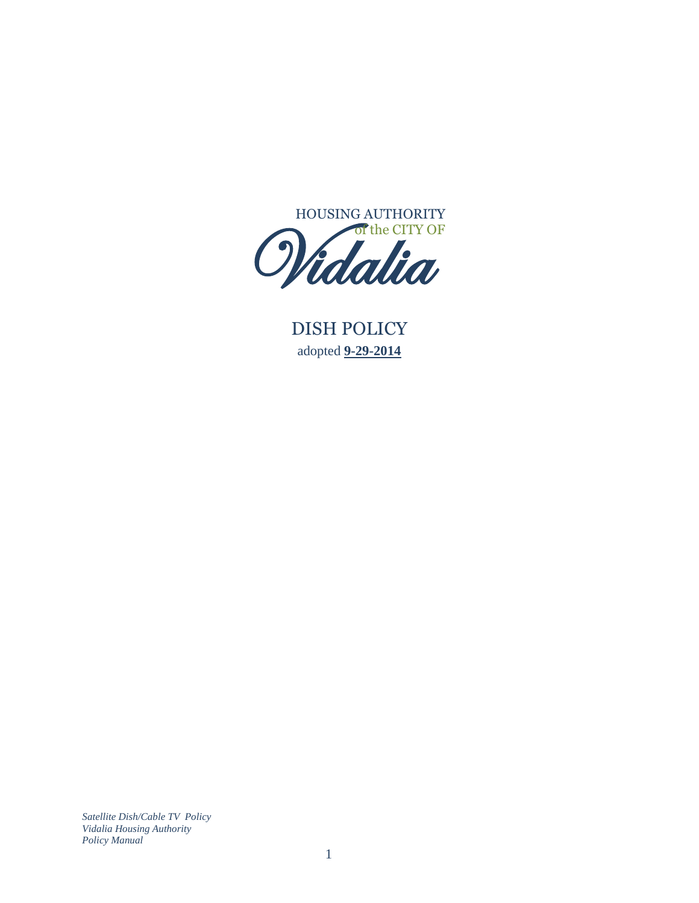

DISH POLICY adopted **9-29-2014**  $\frac{P}{\frac{19}{P}}$ 

*Satellite Dish/Cable TV Policy Vidalia Housing Authority Policy Manual*